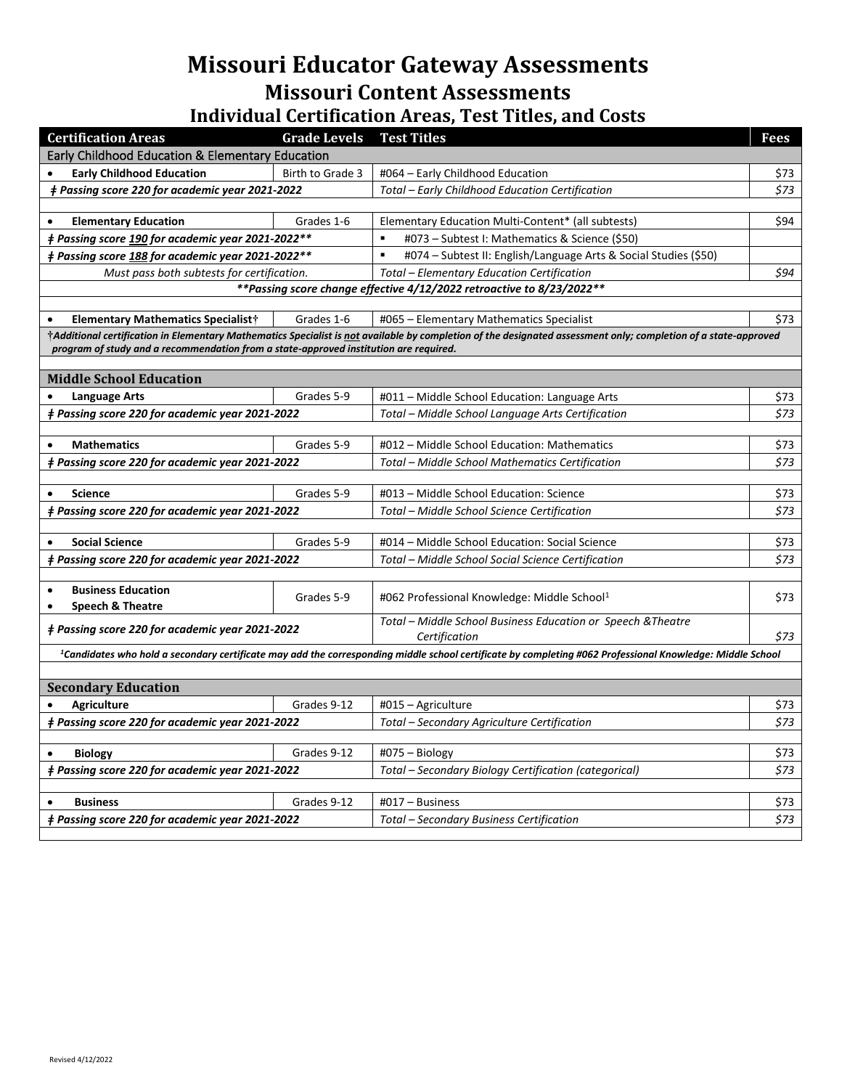## **Missouri Educator Gateway Assessments Missouri Content Assessments**

## **Individual Certification Areas, Test Titles, and Costs**

| <b>Certification Areas</b>                                                                                                                                            | <b>Grade Levels</b> | <b>Test Titles</b>                                                                                                                                              | Fees |
|-----------------------------------------------------------------------------------------------------------------------------------------------------------------------|---------------------|-----------------------------------------------------------------------------------------------------------------------------------------------------------------|------|
| Early Childhood Education & Elementary Education                                                                                                                      |                     |                                                                                                                                                                 |      |
| <b>Early Childhood Education</b>                                                                                                                                      | Birth to Grade 3    | #064 – Early Childhood Education                                                                                                                                | \$73 |
| # Passing score 220 for academic year 2021-2022                                                                                                                       |                     | Total - Early Childhood Education Certification                                                                                                                 | \$73 |
|                                                                                                                                                                       |                     |                                                                                                                                                                 |      |
| <b>Elementary Education</b><br>$\bullet$                                                                                                                              | Grades 1-6          | Elementary Education Multi-Content* (all subtests)                                                                                                              | \$94 |
| # Passing score 190 for academic year 2021-2022**                                                                                                                     |                     | #073 - Subtest I: Mathematics & Science (\$50)                                                                                                                  |      |
| # Passing score 188 for academic year 2021-2022**                                                                                                                     |                     | $\blacksquare$<br>#074 – Subtest II: English/Language Arts & Social Studies (\$50)                                                                              |      |
| Must pass both subtests for certification.                                                                                                                            |                     | Total - Elementary Education Certification                                                                                                                      | \$94 |
|                                                                                                                                                                       |                     | ** Passing score change effective 4/12/2022 retroactive to 8/23/2022**                                                                                          |      |
|                                                                                                                                                                       |                     |                                                                                                                                                                 |      |
| <b>Elementary Mathematics Specialist†</b><br>$\bullet$                                                                                                                | Grades 1-6          | #065 - Elementary Mathematics Specialist                                                                                                                        | \$73 |
| program of study and a recommendation from a state-approved institution are required.                                                                                 |                     | †Additional certification in Elementary Mathematics Specialist is not available by completion of the designated assessment only; completion of a state-approved |      |
|                                                                                                                                                                       |                     |                                                                                                                                                                 |      |
| <b>Middle School Education</b>                                                                                                                                        |                     |                                                                                                                                                                 |      |
| <b>Language Arts</b>                                                                                                                                                  | Grades 5-9          | #011 - Middle School Education: Language Arts                                                                                                                   | \$73 |
| <i>‡ Passing score 220 for academic year 2021-2022</i>                                                                                                                |                     | Total - Middle School Language Arts Certification                                                                                                               | \$73 |
|                                                                                                                                                                       |                     |                                                                                                                                                                 |      |
| <b>Mathematics</b><br>$\bullet$                                                                                                                                       | Grades 5-9          | #012 - Middle School Education: Mathematics                                                                                                                     | \$73 |
| <b>‡ Passing score 220 for academic year 2021-2022</b>                                                                                                                |                     | Total - Middle School Mathematics Certification                                                                                                                 | \$73 |
|                                                                                                                                                                       |                     |                                                                                                                                                                 |      |
| <b>Science</b><br>$\bullet$                                                                                                                                           | Grades 5-9          | #013 - Middle School Education: Science                                                                                                                         | \$73 |
| ‡ Passing score 220 for academic year 2021-2022                                                                                                                       |                     | Total - Middle School Science Certification                                                                                                                     | \$73 |
| <b>Social Science</b>                                                                                                                                                 | Grades 5-9          | #014 - Middle School Education: Social Science                                                                                                                  | \$73 |
| # Passing score 220 for academic year 2021-2022                                                                                                                       |                     | Total – Middle School Social Science Certification                                                                                                              | \$73 |
|                                                                                                                                                                       |                     |                                                                                                                                                                 |      |
| <b>Business Education</b><br>$\bullet$                                                                                                                                |                     |                                                                                                                                                                 |      |
| <b>Speech &amp; Theatre</b><br>$\bullet$                                                                                                                              | Grades 5-9          | #062 Professional Knowledge: Middle School1                                                                                                                     | \$73 |
|                                                                                                                                                                       |                     | Total - Middle School Business Education or Speech & Theatre                                                                                                    |      |
| <i>‡ Passing score 220 for academic year 2021-2022</i>                                                                                                                |                     | Certification                                                                                                                                                   | \$73 |
| <sup>1</sup> Candidates who hold a secondary certificate may add the corresponding middle school certificate by completing #062 Professional Knowledge: Middle School |                     |                                                                                                                                                                 |      |
|                                                                                                                                                                       |                     |                                                                                                                                                                 |      |
| <b>Secondary Education</b>                                                                                                                                            |                     |                                                                                                                                                                 |      |
| <b>Agriculture</b>                                                                                                                                                    | Grades 9-12         | $\text{\#O15}-\text{Agriculture}$                                                                                                                               | \$73 |
| <i>‡ Passing score 220 for academic year 2021-2022</i>                                                                                                                |                     | Total - Secondary Agriculture Certification                                                                                                                     | \$73 |
|                                                                                                                                                                       |                     |                                                                                                                                                                 |      |
| <b>Biology</b>                                                                                                                                                        | Grades 9-12         | $#075 - Biology$                                                                                                                                                | \$73 |
| # Passing score 220 for academic year 2021-2022<br>Total – Secondary Biology Certification (categorical)                                                              |                     |                                                                                                                                                                 | \$73 |
| <b>Business</b>                                                                                                                                                       | Grades 9-12         | #017 - Business                                                                                                                                                 | \$73 |
|                                                                                                                                                                       |                     |                                                                                                                                                                 | \$73 |
| ‡ Passing score 220 for academic year 2021-2022<br>Total – Secondary Business Certification                                                                           |                     |                                                                                                                                                                 |      |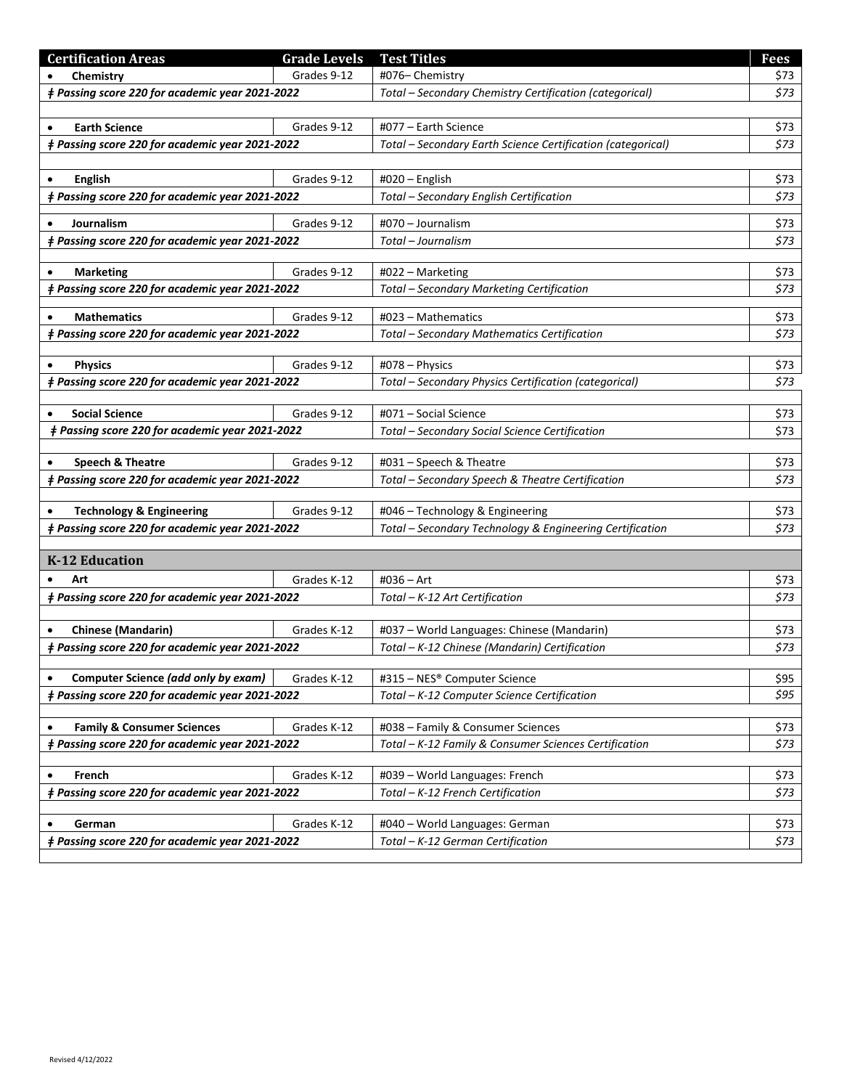| <b>Certification Areas</b>                             | <b>Grade Levels</b> | <b>Test Titles</b>                                          | <b>Fees</b> |
|--------------------------------------------------------|---------------------|-------------------------------------------------------------|-------------|
| Chemistry                                              | Grades 9-12         | #076-Chemistry                                              | \$73        |
| # Passing score 220 for academic year 2021-2022        |                     | Total - Secondary Chemistry Certification (categorical)     | \$73        |
|                                                        |                     |                                                             |             |
| <b>Earth Science</b>                                   | Grades 9-12         | #077 - Earth Science                                        | \$73        |
| # Passing score 220 for academic year 2021-2022        |                     | Total - Secondary Earth Science Certification (categorical) | \$73        |
|                                                        |                     |                                                             |             |
| <b>English</b><br>٠                                    | Grades 9-12         | #020 - English                                              | \$73        |
| # Passing score 220 for academic year 2021-2022        |                     | Total - Secondary English Certification                     | \$73        |
| Journalism                                             | Grades 9-12         | #070 - Journalism                                           | \$73        |
| # Passing score 220 for academic year 2021-2022        |                     | Total - Journalism                                          | \$73        |
|                                                        |                     |                                                             |             |
| <b>Marketing</b><br>$\bullet$                          | Grades 9-12         | #022 - Marketing                                            | \$73        |
| # Passing score 220 for academic year 2021-2022        |                     | Total - Secondary Marketing Certification                   | \$73        |
|                                                        |                     |                                                             |             |
| <b>Mathematics</b>                                     | Grades 9-12         | #023 - Mathematics                                          | \$73        |
| <i>‡ Passing score 220 for academic year 2021-2022</i> |                     | Total - Secondary Mathematics Certification                 | \$73        |
| <b>Physics</b>                                         | Grades 9-12         | #078 - Physics                                              | \$73        |
| # Passing score 220 for academic year 2021-2022        |                     | Total - Secondary Physics Certification (categorical)       | \$73        |
|                                                        |                     |                                                             |             |
| <b>Social Science</b>                                  | Grades 9-12         | #071 - Social Science                                       | \$73        |
| # Passing score 220 for academic year 2021-2022        |                     | Total - Secondary Social Science Certification              | \$73        |
|                                                        |                     |                                                             |             |
| <b>Speech &amp; Theatre</b>                            | Grades 9-12         | #031 - Speech & Theatre                                     | \$73        |
| # Passing score 220 for academic year 2021-2022        |                     | Total - Secondary Speech & Theatre Certification            | \$73        |
| <b>Technology &amp; Engineering</b>                    | Grades 9-12         | #046 - Technology & Engineering                             | \$73        |
| # Passing score 220 for academic year 2021-2022        |                     | Total - Secondary Technology & Engineering Certification    | \$73        |
|                                                        |                     |                                                             |             |
| K-12 Education                                         |                     |                                                             |             |
| Art<br>$\bullet$                                       | Grades K-12         | #036 - Art                                                  | \$73        |
| # Passing score 220 for academic year 2021-2022        |                     | Total - K-12 Art Certification                              | \$73        |
|                                                        |                     |                                                             |             |
| <b>Chinese (Mandarin)</b>                              | Grades K-12         | #037 - World Languages: Chinese (Mandarin)                  | \$73        |
| <i>‡ Passing score 220 for academic year 2021-2022</i> |                     | Total - K-12 Chinese (Mandarin) Certification               | \$73        |
|                                                        |                     |                                                             |             |
| Computer Science (add only by exam)<br>$\bullet$       | Grades K-12         | #315 - NES® Computer Science                                | \$95        |
| # Passing score 220 for academic year 2021-2022        |                     | Total - K-12 Computer Science Certification                 | \$95        |
| <b>Family &amp; Consumer Sciences</b><br>$\bullet$     | Grades K-12         | #038 - Family & Consumer Sciences                           | \$73        |
| # Passing score 220 for academic year 2021-2022        |                     | Total - K-12 Family & Consumer Sciences Certification       | \$73        |
|                                                        |                     |                                                             |             |
| French<br>$\bullet$                                    | Grades K-12         | #039 - World Languages: French                              | \$73        |
| # Passing score 220 for academic year 2021-2022        |                     | Total - K-12 French Certification                           | \$73        |
|                                                        |                     |                                                             |             |
| German<br>$\bullet$                                    | Grades K-12         | #040 - World Languages: German                              | \$73        |
| # Passing score 220 for academic year 2021-2022        |                     | Total - K-12 German Certification                           | \$73        |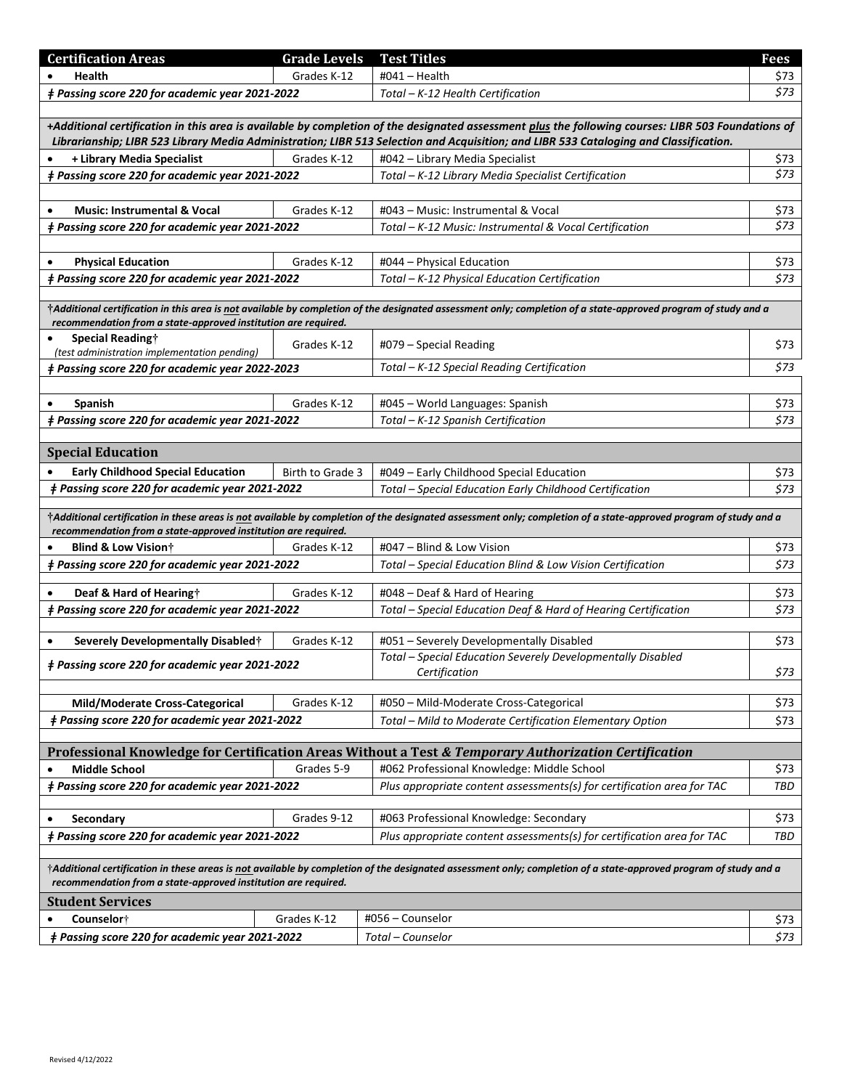| <b>Certification Areas</b>                                                                                                                                                                                                                                                                  | <b>Grade Levels</b> | <b>Test Titles</b>                                                                                                                                             | <b>Fees</b> |  |
|---------------------------------------------------------------------------------------------------------------------------------------------------------------------------------------------------------------------------------------------------------------------------------------------|---------------------|----------------------------------------------------------------------------------------------------------------------------------------------------------------|-------------|--|
| Health                                                                                                                                                                                                                                                                                      | Grades K-12         | #041 - Health                                                                                                                                                  | \$73        |  |
| <i>‡ Passing score 220 for academic year 2021-2022</i>                                                                                                                                                                                                                                      |                     | Total - K-12 Health Certification                                                                                                                              | \$73        |  |
|                                                                                                                                                                                                                                                                                             |                     |                                                                                                                                                                |             |  |
| +Additional certification in this area is available by completion of the designated assessment plus the following courses: LIBR 503 Foundations of<br>Librarianship; LIBR 523 Library Media Administration; LIBR 513 Selection and Acquisition; and LIBR 533 Cataloging and Classification. |                     |                                                                                                                                                                |             |  |
| + Library Media Specialist                                                                                                                                                                                                                                                                  | Grades K-12         | #042 - Library Media Specialist                                                                                                                                | \$73        |  |
| # Passing score 220 for academic year 2021-2022                                                                                                                                                                                                                                             |                     | Total – K-12 Library Media Specialist Certification                                                                                                            | \$73        |  |
|                                                                                                                                                                                                                                                                                             |                     |                                                                                                                                                                |             |  |
| <b>Music: Instrumental &amp; Vocal</b>                                                                                                                                                                                                                                                      | Grades K-12         | #043 – Music: Instrumental & Vocal                                                                                                                             | \$73        |  |
| <i>‡ Passing score 220 for academic year 2021-2022</i>                                                                                                                                                                                                                                      |                     | Total – K-12 Music: Instrumental & Vocal Certification                                                                                                         | \$73        |  |
|                                                                                                                                                                                                                                                                                             |                     |                                                                                                                                                                |             |  |
| <b>Physical Education</b>                                                                                                                                                                                                                                                                   | Grades K-12         | #044 – Physical Education                                                                                                                                      | \$73        |  |
| # Passing score 220 for academic year 2021-2022                                                                                                                                                                                                                                             |                     | Total – K-12 Physical Education Certification                                                                                                                  | \$73        |  |
|                                                                                                                                                                                                                                                                                             |                     |                                                                                                                                                                |             |  |
| recommendation from a state-approved institution are required.                                                                                                                                                                                                                              |                     | †Additional certification in this area is not available by completion of the designated assessment only; completion of a state-approved program of study and a |             |  |
| Special Reading†                                                                                                                                                                                                                                                                            |                     | #079 - Special Reading                                                                                                                                         | \$73        |  |
| (test administration implementation pending)                                                                                                                                                                                                                                                | Grades K-12         |                                                                                                                                                                |             |  |
| # Passing score 220 for academic year 2022-2023                                                                                                                                                                                                                                             |                     | Total - K-12 Special Reading Certification                                                                                                                     | \$73        |  |
|                                                                                                                                                                                                                                                                                             |                     |                                                                                                                                                                |             |  |
| <b>Spanish</b><br>$\bullet$                                                                                                                                                                                                                                                                 | Grades K-12         | #045 - World Languages: Spanish                                                                                                                                | \$73        |  |
| <i>‡ Passing score 220 for academic year 2021-2022</i>                                                                                                                                                                                                                                      |                     | Total - K-12 Spanish Certification                                                                                                                             | \$73        |  |
|                                                                                                                                                                                                                                                                                             |                     |                                                                                                                                                                |             |  |
| <b>Special Education</b>                                                                                                                                                                                                                                                                    |                     |                                                                                                                                                                |             |  |
| <b>Early Childhood Special Education</b>                                                                                                                                                                                                                                                    | Birth to Grade 3    | #049 - Early Childhood Special Education                                                                                                                       | \$73        |  |
| # Passing score 220 for academic year 2021-2022                                                                                                                                                                                                                                             |                     | Total - Special Education Early Childhood Certification                                                                                                        | \$73        |  |
| †Additional certification in these areas is not available by completion of the designated assessment only; completion of a state-approved program of study and a<br>recommendation from a state-approved institution are required.                                                          |                     |                                                                                                                                                                |             |  |
| <b>Blind &amp; Low Vision</b> †                                                                                                                                                                                                                                                             | Grades K-12         | #047 - Blind & Low Vision                                                                                                                                      | \$73        |  |
| <i>‡ Passing score 220 for academic year 2021-2022</i>                                                                                                                                                                                                                                      |                     | Total - Special Education Blind & Low Vision Certification                                                                                                     | \$73        |  |
|                                                                                                                                                                                                                                                                                             |                     |                                                                                                                                                                |             |  |
| Deaf & Hard of Hearing†                                                                                                                                                                                                                                                                     | Grades K-12         | #048 - Deaf & Hard of Hearing                                                                                                                                  | \$73        |  |
| <i>‡ Passing score 220 for academic year 2021-2022</i>                                                                                                                                                                                                                                      |                     | Total - Special Education Deaf & Hard of Hearing Certification                                                                                                 | \$73        |  |
| Severely Developmentally Disabled†                                                                                                                                                                                                                                                          | Grades K-12         | #051 - Severely Developmentally Disabled                                                                                                                       | \$73        |  |
|                                                                                                                                                                                                                                                                                             |                     | Total - Special Education Severely Developmentally Disabled                                                                                                    |             |  |
| # Passing score 220 for academic year 2021-2022                                                                                                                                                                                                                                             |                     | Certification                                                                                                                                                  | \$73        |  |
|                                                                                                                                                                                                                                                                                             |                     |                                                                                                                                                                |             |  |
| Mild/Moderate Cross-Categorical                                                                                                                                                                                                                                                             | Grades K-12         | #050 - Mild-Moderate Cross-Categorical                                                                                                                         | \$73        |  |
| <i>‡ Passing score 220 for academic year 2021-2022</i>                                                                                                                                                                                                                                      |                     | Total - Mild to Moderate Certification Elementary Option                                                                                                       | \$73        |  |
|                                                                                                                                                                                                                                                                                             |                     |                                                                                                                                                                |             |  |
|                                                                                                                                                                                                                                                                                             |                     | Professional Knowledge for Certification Areas Without a Test & Temporary Authorization Certification                                                          |             |  |
| <b>Middle School</b>                                                                                                                                                                                                                                                                        | Grades 5-9          | #062 Professional Knowledge: Middle School                                                                                                                     | \$73        |  |
| <i>‡ Passing score 220 for academic year 2021-2022</i>                                                                                                                                                                                                                                      |                     | Plus appropriate content assessments(s) for certification area for TAC                                                                                         | TBD         |  |
| Secondary<br>$\bullet$                                                                                                                                                                                                                                                                      | Grades 9-12         | #063 Professional Knowledge: Secondary                                                                                                                         | \$73        |  |
| # Passing score 220 for academic year 2021-2022                                                                                                                                                                                                                                             |                     | Plus appropriate content assessments(s) for certification area for TAC                                                                                         | TBD         |  |
|                                                                                                                                                                                                                                                                                             |                     |                                                                                                                                                                |             |  |
| †Additional certification in these areas is not available by completion of the designated assessment only; completion of a state-approved program of study and a<br>recommendation from a state-approved institution are required.                                                          |                     |                                                                                                                                                                |             |  |
| <b>Student Services</b>                                                                                                                                                                                                                                                                     |                     |                                                                                                                                                                |             |  |
| Counselor†                                                                                                                                                                                                                                                                                  | Grades K-12         | #056 - Counselor                                                                                                                                               | \$73        |  |
| <i>‡ Passing score 220 for academic year 2021-2022</i>                                                                                                                                                                                                                                      |                     | Total - Counselor                                                                                                                                              | \$73        |  |